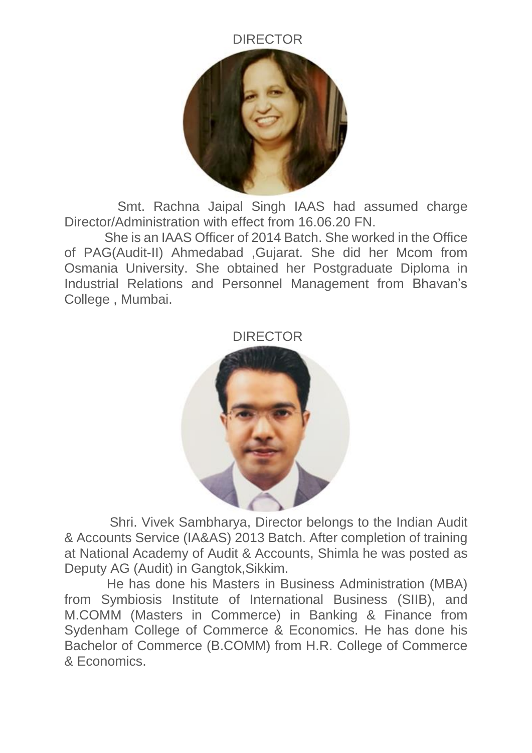## DIRECTOR



 Smt. Rachna Jaipal Singh IAAS had assumed charge Director/Administration with effect from 16.06.20 FN.

 She is an IAAS Officer of 2014 Batch. She worked in the Office of PAG(Audit-II) Ahmedabad ,Gujarat. She did her Mcom from Osmania University. She obtained her Postgraduate Diploma in Industrial Relations and Personnel Management from Bhavan's College , Mumbai.





 Shri. Vivek Sambharya, Director belongs to the Indian Audit & Accounts Service (IA&AS) 2013 Batch. After completion of training at National Academy of Audit & Accounts, Shimla he was posted as Deputy AG (Audit) in Gangtok,Sikkim.

 He has done his Masters in Business Administration (MBA) from Symbiosis Institute of International Business (SIIB), and M.COMM (Masters in Commerce) in Banking & Finance from Sydenham College of Commerce & Economics. He has done his Bachelor of Commerce (B.COMM) from H.R. College of Commerce & Economics.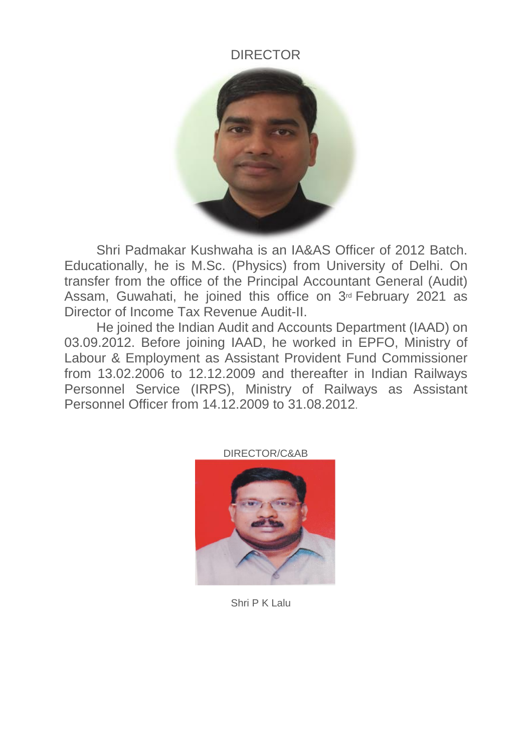## DIRECTOR



Shri Padmakar Kushwaha is an IA&AS Officer of 2012 Batch. Educationally, he is M.Sc. (Physics) from University of Delhi. On transfer from the office of the Principal Accountant General (Audit) Assam, Guwahati, he joined this office on 3<sup>rd</sup> February 2021 as Director of Income Tax Revenue Audit-II.

He joined the Indian Audit and Accounts Department (IAAD) on 03.09.2012. Before joining IAAD, he worked in EPFO, Ministry of Labour & Employment as Assistant Provident Fund Commissioner from 13.02.2006 to 12.12.2009 and thereafter in Indian Railways Personnel Service (IRPS), Ministry of Railways as Assistant Personnel Officer from 14.12.2009 to 31.08.2012.



Shri P K Lalu